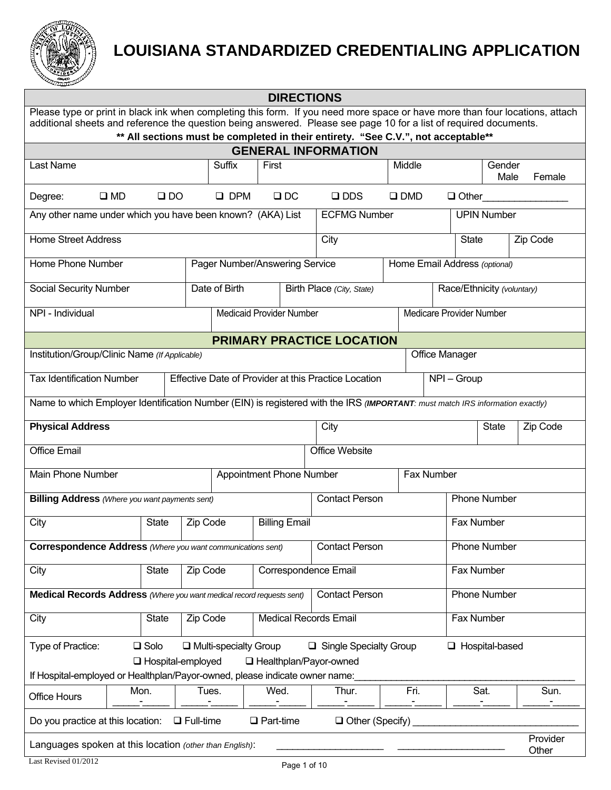

## **LOUISIANA STANDARDIZED CREDENTIALING APPLICATION**

|                                                                                                                                                                                                                                                   |                |                     |                                                                     | <b>DIRECTIONS</b>               |                                                                                   |                               |                          |              |                            |                   |
|---------------------------------------------------------------------------------------------------------------------------------------------------------------------------------------------------------------------------------------------------|----------------|---------------------|---------------------------------------------------------------------|---------------------------------|-----------------------------------------------------------------------------------|-------------------------------|--------------------------|--------------|----------------------------|-------------------|
| Please type or print in black ink when completing this form. If you need more space or have more than four locations, attach<br>additional sheets and reference the question being answered. Please see page 10 for a list of required documents. |                |                     |                                                                     |                                 |                                                                                   |                               |                          |              |                            |                   |
|                                                                                                                                                                                                                                                   |                |                     |                                                                     |                                 | ** All sections must be completed in their entirety. "See C.V.", not acceptable** |                               |                          |              |                            |                   |
|                                                                                                                                                                                                                                                   |                |                     |                                                                     |                                 | <b>GENERAL INFORMATION</b>                                                        |                               |                          |              |                            |                   |
| Last Name                                                                                                                                                                                                                                         |                |                     | Suffix                                                              | First                           |                                                                                   | Middle                        |                          |              | Gender<br>Male             | Female            |
| Degree:                                                                                                                                                                                                                                           | $\square$ MD   | $\square$ DO        | $\Box$ DPM                                                          | $\Box$ DC                       | $\square$ DDS                                                                     | $\square$ DMD                 |                          |              | $\Box$ Other               |                   |
| Any other name under which you have been known? (AKA) List                                                                                                                                                                                        |                |                     |                                                                     |                                 | <b>ECFMG Number</b>                                                               |                               |                          |              | <b>UPIN Number</b>         |                   |
| <b>Home Street Address</b>                                                                                                                                                                                                                        |                |                     |                                                                     |                                 | City                                                                              |                               |                          | <b>State</b> |                            | Zip Code          |
| Home Phone Number                                                                                                                                                                                                                                 |                |                     |                                                                     | Pager Number/Answering Service  |                                                                                   | Home Email Address (optional) |                          |              |                            |                   |
| Social Security Number                                                                                                                                                                                                                            |                |                     | Date of Birth                                                       |                                 | Birth Place (City, State)                                                         |                               |                          |              | Race/Ethnicity (voluntary) |                   |
| NPI - Individual                                                                                                                                                                                                                                  |                |                     |                                                                     | <b>Medicaid Provider Number</b> |                                                                                   |                               | Medicare Provider Number |              |                            |                   |
|                                                                                                                                                                                                                                                   |                |                     |                                                                     |                                 | <b>PRIMARY PRACTICE LOCATION</b>                                                  |                               |                          |              |                            |                   |
| Institution/Group/Clinic Name (If Applicable)                                                                                                                                                                                                     |                |                     |                                                                     |                                 |                                                                                   |                               | <b>Office Manager</b>    |              |                            |                   |
| <b>Tax Identification Number</b>                                                                                                                                                                                                                  |                |                     | Effective Date of Provider at this Practice Location<br>NPI - Group |                                 |                                                                                   |                               |                          |              |                            |                   |
| Name to which Employer Identification Number (EIN) is registered with the IRS (IMPORTANT: must match IRS information exactly)                                                                                                                     |                |                     |                                                                     |                                 |                                                                                   |                               |                          |              |                            |                   |
| <b>Physical Address</b>                                                                                                                                                                                                                           |                |                     |                                                                     |                                 | City                                                                              |                               |                          |              | <b>State</b>               | Zip Code          |
| <b>Office Email</b>                                                                                                                                                                                                                               |                |                     |                                                                     |                                 | Office Website                                                                    |                               |                          |              |                            |                   |
| Main Phone Number                                                                                                                                                                                                                                 |                |                     |                                                                     | <b>Appointment Phone Number</b> |                                                                                   |                               | Fax Number               |              |                            |                   |
| <b>Billing Address</b> (Where you want payments sent)                                                                                                                                                                                             |                |                     |                                                                     |                                 | <b>Contact Person</b>                                                             |                               |                          |              | <b>Phone Number</b>        |                   |
| City                                                                                                                                                                                                                                              | <b>State</b>   | Zip Code            |                                                                     | <b>Billing Email</b>            | Fax Number                                                                        |                               |                          |              |                            |                   |
| <b>Correspondence Address</b> (Where you want communications sent)                                                                                                                                                                                |                |                     |                                                                     |                                 | <b>Contact Person</b>                                                             |                               |                          |              | <b>Phone Number</b>        |                   |
| City                                                                                                                                                                                                                                              | <b>State</b>   | Zip Code            |                                                                     | Correspondence Email            |                                                                                   |                               | Fax Number               |              |                            |                   |
| Medical Records Address (Where you want medical record requests sent)                                                                                                                                                                             |                |                     |                                                                     |                                 | <b>Contact Person</b>                                                             |                               |                          | Phone Number |                            |                   |
| City                                                                                                                                                                                                                                              | <b>State</b>   | Zip Code            |                                                                     | <b>Medical Records Email</b>    |                                                                                   |                               |                          | Fax Number   |                            |                   |
| Type of Practice:                                                                                                                                                                                                                                 | $\square$ Solo | □ Hospital-employed | $\Box$ Multi-specialty Group                                        | □ Healthplan/Payor-owned        | Single Specialty Group                                                            |                               |                          |              | $\Box$ Hospital-based      |                   |
| If Hospital-employed or Healthplan/Payor-owned, please indicate owner name:                                                                                                                                                                       |                |                     |                                                                     |                                 |                                                                                   |                               |                          |              |                            |                   |
| <b>Office Hours</b>                                                                                                                                                                                                                               | Mon.           |                     | Tues.                                                               | Wed.                            | Thur.                                                                             | Fri.                          |                          | Sat.         |                            | Sun.              |
| Do you practice at this location:                                                                                                                                                                                                                 |                | $\Box$ Full-time    |                                                                     | $\Box$ Part-time                | $\Box$ Other (Specify)                                                            |                               |                          |              |                            |                   |
| Languages spoken at this location (other than English):                                                                                                                                                                                           |                |                     |                                                                     |                                 |                                                                                   |                               |                          |              |                            | Provider<br>Other |
| Last Revised 01/2012                                                                                                                                                                                                                              |                |                     |                                                                     | Page 1 of 10                    |                                                                                   |                               |                          |              |                            |                   |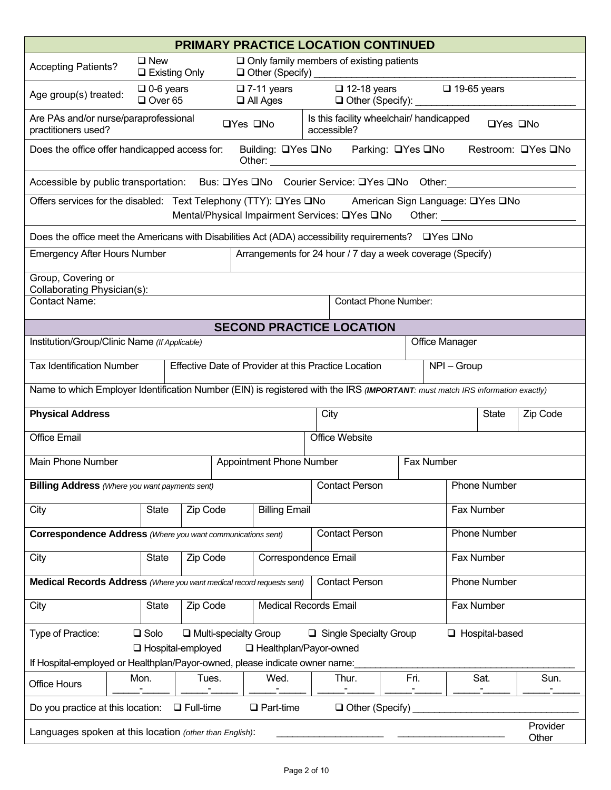|                                                                                                                               |                                    |                              |                      |                                         |      | <b>PRIMARY PRACTICE LOCATION CONTINUED</b>                                                                                                                                                                                                                |      |                       |                       |                    |
|-------------------------------------------------------------------------------------------------------------------------------|------------------------------------|------------------------------|----------------------|-----------------------------------------|------|-----------------------------------------------------------------------------------------------------------------------------------------------------------------------------------------------------------------------------------------------------------|------|-----------------------|-----------------------|--------------------|
| <b>Accepting Patients?</b>                                                                                                    | $\Box$ New<br>$\Box$ Existing Only |                              |                      | Other (Specify)                         |      | $\Box$ Only family members of existing patients                                                                                                                                                                                                           |      |                       |                       |                    |
| Age group(s) treated:                                                                                                         | $\Box$ 0-6 years<br>$\Box$ Over 65 |                              |                      | $\square$ 7-11 years<br>$\Box$ All Ages |      | $\Box$ 12-18 years<br>□ Other (Specify):                                                                                                                                                                                                                  |      | $\Box$ 19-65 years    |                       |                    |
| Are PAs and/or nurse/paraprofessional<br>practitioners used?                                                                  |                                    |                              | $\Box$ Yes $\Box$ No |                                         |      | Is this facility wheelchair/ handicapped<br>accessible?                                                                                                                                                                                                   |      |                       | □Yes □No              |                    |
| Does the office offer handicapped access for:                                                                                 |                                    |                              |                      | Building: □Yes □No                      |      | Parking: □Yes □No<br>Other: <u>with the community of the community of the community of the community of the community of the community of the community of the community of the community of the community of the community of the community of the c</u> |      |                       |                       | Restroom: □Yes □No |
| Accessible by public transportation: Bus: UYes UNo Courier Service: UYes UNo Other:                                           |                                    |                              |                      |                                         |      |                                                                                                                                                                                                                                                           |      |                       |                       |                    |
| Offers services for the disabled: Text Telephony (TTY): Lates Land American Sign Language: Lates Land                         |                                    |                              |                      |                                         |      | Mental/Physical Impairment Services: UYes UNo                                                                                                                                                                                                             |      |                       |                       |                    |
| Does the office meet the Americans with Disabilities Act (ADA) accessibility requirements? □ Yes □ No                         |                                    |                              |                      |                                         |      |                                                                                                                                                                                                                                                           |      |                       |                       |                    |
| <b>Emergency After Hours Number</b>                                                                                           |                                    |                              |                      |                                         |      | Arrangements for 24 hour / 7 day a week coverage (Specify)                                                                                                                                                                                                |      |                       |                       |                    |
| Group, Covering or<br>Collaborating Physician(s):                                                                             |                                    |                              |                      |                                         |      |                                                                                                                                                                                                                                                           |      |                       |                       |                    |
| <b>Contact Name:</b>                                                                                                          |                                    |                              |                      |                                         |      | <b>Contact Phone Number:</b>                                                                                                                                                                                                                              |      |                       |                       |                    |
|                                                                                                                               |                                    |                              |                      |                                         |      | <b>SECOND PRACTICE LOCATION</b>                                                                                                                                                                                                                           |      |                       |                       |                    |
| Institution/Group/Clinic Name (If Applicable)                                                                                 |                                    |                              |                      |                                         |      |                                                                                                                                                                                                                                                           |      | <b>Office Manager</b> |                       |                    |
| <b>Tax Identification Number</b>                                                                                              |                                    |                              |                      |                                         |      | Effective Date of Provider at this Practice Location                                                                                                                                                                                                      |      | NPI - Group           |                       |                    |
| Name to which Employer Identification Number (EIN) is registered with the IRS (IMPORTANT: must match IRS information exactly) |                                    |                              |                      |                                         |      |                                                                                                                                                                                                                                                           |      |                       |                       |                    |
| <b>Physical Address</b>                                                                                                       |                                    |                              |                      |                                         | City |                                                                                                                                                                                                                                                           |      |                       | <b>State</b>          | Zip Code           |
| <b>Office Email</b>                                                                                                           |                                    |                              |                      |                                         |      | Office Website                                                                                                                                                                                                                                            |      |                       |                       |                    |
| <b>Main Phone Number</b>                                                                                                      |                                    |                              |                      | Appointment Phone Number                |      |                                                                                                                                                                                                                                                           |      | Fax Number            |                       |                    |
| <b>Billing Address</b> (Where you want payments sent)                                                                         |                                    |                              |                      |                                         |      | <b>Contact Person</b>                                                                                                                                                                                                                                     |      |                       | <b>Phone Number</b>   |                    |
| City                                                                                                                          | <b>State</b>                       | Zip Code                     |                      | <b>Billing Email</b>                    |      |                                                                                                                                                                                                                                                           |      |                       | Fax Number            |                    |
| <b>Correspondence Address</b> (Where you want communications sent)                                                            |                                    |                              |                      |                                         |      | <b>Contact Person</b>                                                                                                                                                                                                                                     |      |                       | <b>Phone Number</b>   |                    |
| City                                                                                                                          | <b>State</b>                       | Zip Code                     |                      | Correspondence Email                    |      |                                                                                                                                                                                                                                                           |      |                       | Fax Number            |                    |
| Medical Records Address (Where you want medical record requests sent)                                                         |                                    |                              |                      |                                         |      | <b>Contact Person</b>                                                                                                                                                                                                                                     |      |                       | <b>Phone Number</b>   |                    |
| City                                                                                                                          | <b>State</b>                       | Zip Code                     |                      | <b>Medical Records Email</b>            |      |                                                                                                                                                                                                                                                           |      |                       | Fax Number            |                    |
| Type of Practice:                                                                                                             | $\square$ Solo                     | $\Box$ Multi-specialty Group |                      |                                         |      | $\Box$ Single Specialty Group                                                                                                                                                                                                                             |      |                       | $\Box$ Hospital-based |                    |
| If Hospital-employed or Healthplan/Payor-owned, please indicate owner name:                                                   |                                    | □ Hospital-employed          |                      | □ Healthplan/Payor-owned                |      |                                                                                                                                                                                                                                                           |      |                       |                       |                    |
| <b>Office Hours</b>                                                                                                           | Mon.                               | Tues.                        |                      | Wed.                                    |      | Thur.                                                                                                                                                                                                                                                     | Fri. |                       | Sat.                  | Sun.               |
| Do you practice at this location:                                                                                             |                                    | $\Box$ Full-time             |                      | $\Box$ Part-time                        |      | $\Box$ Other (Specify)                                                                                                                                                                                                                                    |      |                       |                       |                    |
| Languages spoken at this location (other than English):                                                                       |                                    |                              |                      |                                         |      |                                                                                                                                                                                                                                                           |      |                       |                       | Provider<br>Other  |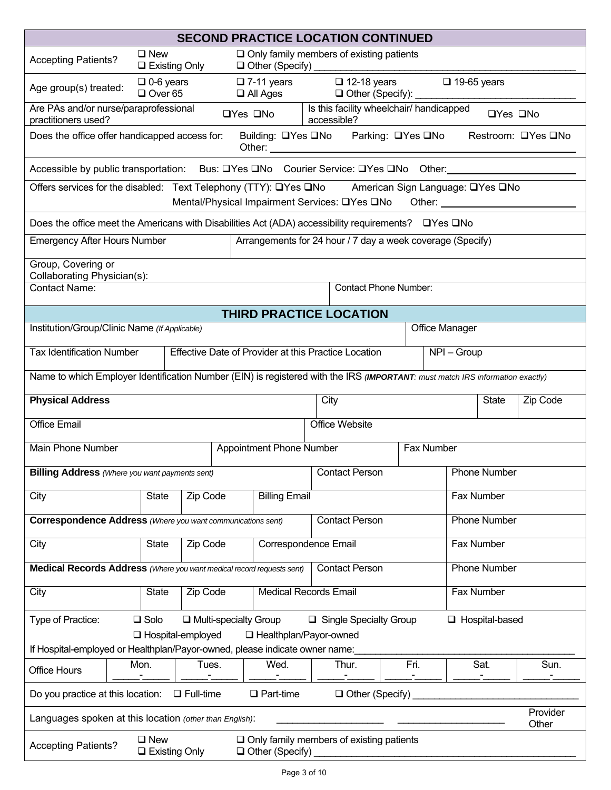|                                                                                                                               |                                       |                              | <b>SECOND PRACTICE LOCATION CONTINUED</b>                                 |                                       |                                               |                |                    |                       |                    |
|-------------------------------------------------------------------------------------------------------------------------------|---------------------------------------|------------------------------|---------------------------------------------------------------------------|---------------------------------------|-----------------------------------------------|----------------|--------------------|-----------------------|--------------------|
| <b>Accepting Patients?</b>                                                                                                    | $\Box$ New<br>$\Box$ Existing Only    |                              | $\Box$ Only family members of existing patients                           |                                       |                                               |                |                    |                       |                    |
| Age group(s) treated:                                                                                                         | $\Box$ 0-6 years<br>$\Box$ Over 65    |                              | $\Box$ 7-11 years<br>$\Box$ All Ages                                      |                                       | $\Box$ 12-18 years<br>□ Other (Specify): ____ |                | $\Box$ 19-65 years |                       |                    |
| Are PAs and/or nurse/paraprofessional<br>practitioners used?                                                                  |                                       |                              | $\Box$ Yes $\Box$ No                                                      | accessible?                           | Is this facility wheelchair/ handicapped      |                |                    | □Yes □No              |                    |
| Does the office offer handicapped access for:                                                                                 |                                       |                              | Building: □Yes □No Parking: □Yes □No                                      |                                       |                                               |                |                    |                       | Restroom: □Yes □No |
| Accessible by public transportation: Bus: □Yes □No Courier Service: □Yes □No Other: 1990 Cuber 2010                           |                                       |                              |                                                                           |                                       |                                               |                |                    |                       |                    |
| Offers services for the disabled: Text Telephony (TTY): Lates Land American Sign Language: Lates Land                         |                                       |                              | Mental/Physical Impairment Services: UYes UNo Other: ______________       |                                       |                                               |                |                    |                       |                    |
| Does the office meet the Americans with Disabilities Act (ADA) accessibility requirements? $\Box$ Yes $\Box$ No               |                                       |                              |                                                                           |                                       |                                               |                |                    |                       |                    |
| <b>Emergency After Hours Number</b>                                                                                           |                                       |                              | Arrangements for 24 hour / 7 day a week coverage (Specify)                |                                       |                                               |                |                    |                       |                    |
| Group, Covering or<br>Collaborating Physician(s):                                                                             |                                       |                              |                                                                           |                                       |                                               |                |                    |                       |                    |
| <b>Contact Phone Number:</b><br><b>Contact Name:</b>                                                                          |                                       |                              |                                                                           |                                       |                                               |                |                    |                       |                    |
|                                                                                                                               |                                       |                              | THIRD PRACTICE LOCATION                                                   |                                       |                                               |                |                    |                       |                    |
| Institution/Group/Clinic Name (If Applicable)                                                                                 |                                       |                              |                                                                           |                                       |                                               | Office Manager |                    |                       |                    |
| <b>Tax Identification Number</b>                                                                                              |                                       |                              | Effective Date of Provider at this Practice Location                      |                                       |                                               |                | $NPI - Group$      |                       |                    |
| Name to which Employer Identification Number (EIN) is registered with the IRS (IMPORTANT: must match IRS information exactly) |                                       |                              |                                                                           |                                       |                                               |                |                    |                       |                    |
| <b>Physical Address</b>                                                                                                       |                                       |                              |                                                                           | City                                  |                                               |                |                    | State                 | Zip Code           |
| <b>Office Email</b>                                                                                                           |                                       |                              |                                                                           |                                       | Office Website                                |                |                    |                       |                    |
| <b>Main Phone Number</b>                                                                                                      |                                       |                              | Appointment Phone Number                                                  |                                       |                                               | Fax Number     |                    |                       |                    |
| <b>Billing Address</b> (Where you want payments sent)                                                                         |                                       |                              |                                                                           |                                       | <b>Contact Person</b>                         |                |                    | <b>Phone Number</b>   |                    |
| City                                                                                                                          | State                                 | Zip Code                     | <b>Billing Email</b>                                                      | Fax Number                            |                                               |                |                    |                       |                    |
| <b>Correspondence Address</b> (Where you want communications sent)                                                            |                                       |                              |                                                                           | <b>Contact Person</b><br>Phone Number |                                               |                |                    |                       |                    |
| City                                                                                                                          | <b>State</b>                          | Zip Code                     | Correspondence Email                                                      |                                       |                                               |                | Fax Number         |                       |                    |
| Medical Records Address (Where you want medical record requests sent)                                                         |                                       |                              |                                                                           |                                       | <b>Contact Person</b>                         |                |                    | Phone Number          |                    |
| City                                                                                                                          | <b>State</b>                          | Zip Code                     | <b>Medical Records Email</b>                                              |                                       |                                               |                | Fax Number         |                       |                    |
| Type of Practice:                                                                                                             | $\square$ Solo                        | $\Box$ Multi-specialty Group |                                                                           |                                       | $\Box$ Single Specialty Group                 |                |                    | $\Box$ Hospital-based |                    |
| If Hospital-employed or Healthplan/Payor-owned, please indicate owner name:                                                   | □ Hospital-employed                   |                              | □ Healthplan/Payor-owned                                                  |                                       |                                               |                |                    |                       |                    |
| <b>Office Hours</b>                                                                                                           | Mon.                                  | Tues.                        | Wed.                                                                      |                                       | Thur.                                         | Fri.           |                    | Sat.                  | Sun.               |
| Do you practice at this location:                                                                                             |                                       | $\Box$ Full-time             | $\Box$ Part-time                                                          |                                       | $\Box$ Other (Specify)                        |                |                    |                       |                    |
| Languages spoken at this location (other than English):                                                                       |                                       |                              |                                                                           |                                       |                                               |                |                    |                       | Provider<br>Other  |
| <b>Accepting Patients?</b>                                                                                                    | $\square$ New<br>$\Box$ Existing Only |                              | $\Box$ Only family members of existing patients<br>$\Box$ Other (Specify) |                                       |                                               |                |                    |                       |                    |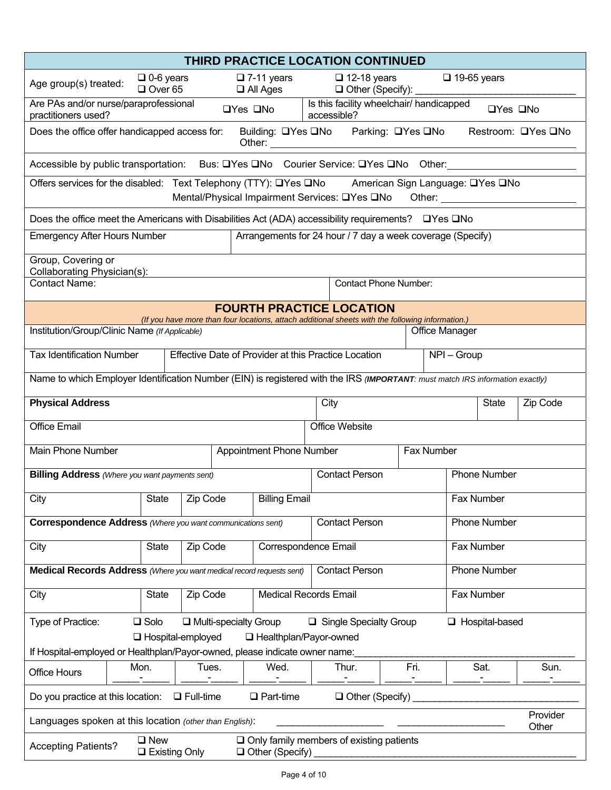|                                                                                                                               |                                       |                                                      |                              | THIRD PRACTICE LOCATION CONTINUED                                                                |                   |                       |                      |
|-------------------------------------------------------------------------------------------------------------------------------|---------------------------------------|------------------------------------------------------|------------------------------|--------------------------------------------------------------------------------------------------|-------------------|-----------------------|----------------------|
| Age group(s) treated:                                                                                                         | $\Box$ 0-6 years<br>$\Box$ Over 65    | $\square$ 7-11 years                                 | $\Box$ All Ages              | $\Box$ 12-18 years<br>Other (Specify): ____                                                      |                   | $\Box$ 19-65 years    |                      |
| Are PAs and/or nurse/paraprofessional<br>practitioners used?                                                                  |                                       | $\Box$ Yes $\Box$ No                                 |                              | Is this facility wheelchair/ handicapped<br>accessible?                                          |                   |                       | $\Box$ Yes $\Box$ No |
| Does the office offer handicapped access for:                                                                                 |                                       |                                                      |                              | Building: □Yes □No Parking: □Yes □No                                                             |                   |                       | Restroom: □Yes □No   |
| Accessible by public transportation: Bus: □Yes □No Courier Service: □Yes □No Other: Notelland Schell                          |                                       |                                                      |                              |                                                                                                  |                   |                       |                      |
| Offers services for the disabled: Text Telephony (TTY): QYes QNo American Sign Language: QYes QNo                             |                                       |                                                      |                              | Mental/Physical Impairment Services: Lates Land Other: _________________________                 |                   |                       |                      |
| Does the office meet the Americans with Disabilities Act (ADA) accessibility requirements? $\Box$ Yes $\Box$ No               |                                       |                                                      |                              |                                                                                                  |                   |                       |                      |
| <b>Emergency After Hours Number</b>                                                                                           |                                       |                                                      |                              | Arrangements for 24 hour / 7 day a week coverage (Specify)                                       |                   |                       |                      |
| Group, Covering or<br>Collaborating Physician(s):                                                                             |                                       |                                                      |                              |                                                                                                  |                   |                       |                      |
| <b>Contact Name:</b>                                                                                                          |                                       |                                                      |                              | <b>Contact Phone Number:</b>                                                                     |                   |                       |                      |
|                                                                                                                               |                                       |                                                      |                              | <b>FOURTH PRACTICE LOCATION</b>                                                                  |                   |                       |                      |
| Institution/Group/Clinic Name (If Applicable)                                                                                 |                                       |                                                      |                              | (If you have more than four locations, attach additional sheets with the following information.) |                   | <b>Office Manager</b> |                      |
| <b>Tax Identification Number</b>                                                                                              |                                       | Effective Date of Provider at this Practice Location |                              |                                                                                                  |                   | $NPI - Group$         |                      |
| Name to which Employer Identification Number (EIN) is registered with the IRS (IMPORTANT: must match IRS information exactly) |                                       |                                                      |                              |                                                                                                  |                   |                       |                      |
| <b>Physical Address</b>                                                                                                       |                                       |                                                      |                              | City                                                                                             |                   | <b>State</b>          | Zip Code             |
| <b>Office Email</b>                                                                                                           |                                       |                                                      |                              | Office Website                                                                                   |                   |                       |                      |
| Main Phone Number                                                                                                             |                                       | <b>Appointment Phone Number</b>                      |                              |                                                                                                  | <b>Fax Number</b> |                       |                      |
| <b>Billing Address</b> (Where you want payments sent)                                                                         |                                       |                                                      |                              | <b>Contact Person</b>                                                                            |                   | <b>Phone Number</b>   |                      |
| City                                                                                                                          | State Zip Code                        |                                                      | <b>Billing Email</b>         |                                                                                                  |                   | Fax Number            |                      |
| <b>Correspondence Address</b> (Where you want communications sent)                                                            |                                       |                                                      |                              | <b>Contact Person</b>                                                                            |                   | <b>Phone Number</b>   |                      |
| City                                                                                                                          | <b>State</b><br>Zip Code              |                                                      | Correspondence Email         |                                                                                                  |                   | Fax Number            |                      |
| Medical Records Address (Where you want medical record requests sent)                                                         |                                       |                                                      |                              | <b>Contact Person</b>                                                                            |                   | <b>Phone Number</b>   |                      |
| City                                                                                                                          | Zip Code<br><b>State</b>              |                                                      | <b>Medical Records Email</b> |                                                                                                  |                   | Fax Number            |                      |
| Type of Practice:                                                                                                             | $\square$ Solo                        | $\Box$ Multi-specialty Group                         |                              | $\Box$ Single Specialty Group                                                                    |                   | $\Box$ Hospital-based |                      |
| If Hospital-employed or Healthplan/Payor-owned, please indicate owner name:                                                   | □ Hospital-employed                   |                                                      | □ Healthplan/Payor-owned     |                                                                                                  |                   |                       |                      |
| Office Hours                                                                                                                  | Mon.                                  | Tues.                                                | Wed.                         | Thur.                                                                                            | Fri.              | Sat.                  | Sun.                 |
| Do you practice at this location:                                                                                             | $\Box$ Full-time                      | $\Box$ Part-time                                     |                              | $\Box$ Other (Specify)                                                                           |                   |                       |                      |
| Languages spoken at this location (other than English):                                                                       |                                       |                                                      |                              |                                                                                                  |                   |                       | Provider<br>Other    |
| <b>Accepting Patients?</b>                                                                                                    | $\square$ New<br>$\Box$ Existing Only |                                                      | $\Box$ Other (Specify)       | $\Box$ Only family members of existing patients                                                  |                   |                       |                      |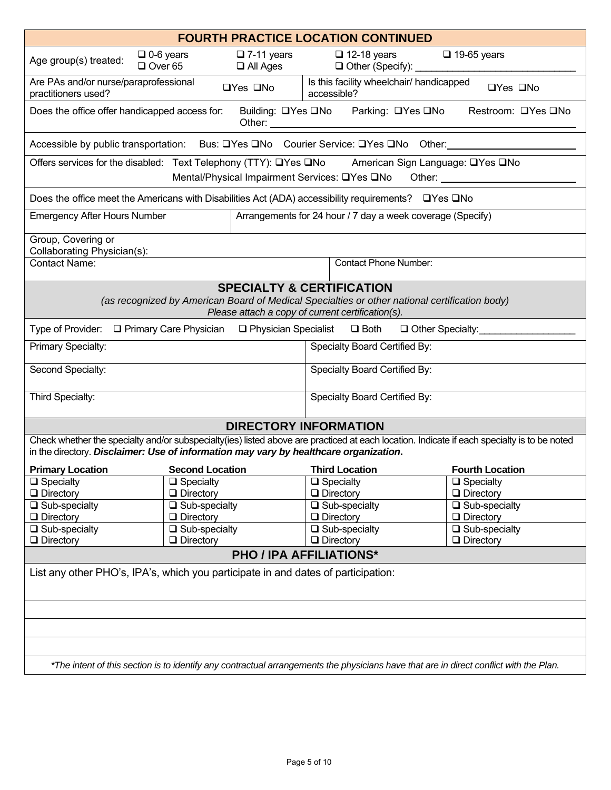|                                                                                                                                                                                                                                      |                                          |                                                                                           |             | <b>FOURTH PRACTICE LOCATION CONTINUED</b>                                                     |                                                                                                                |
|--------------------------------------------------------------------------------------------------------------------------------------------------------------------------------------------------------------------------------------|------------------------------------------|-------------------------------------------------------------------------------------------|-------------|-----------------------------------------------------------------------------------------------|----------------------------------------------------------------------------------------------------------------|
| Age group(s) treated:<br>$\Box$ Over 65                                                                                                                                                                                              | $\Box$ 0-6 years                         | $\square$ 7-11 years<br>$\Box$ All Ages                                                   |             | $\Box$ 12-18 years<br>$\Box$ Other (Specify):                                                 | $\Box$ 19-65 years                                                                                             |
| Are PAs and/or nurse/paraprofessional<br>practitioners used?                                                                                                                                                                         |                                          | $\Box$ Yes $\Box$ No                                                                      | accessible? | Is this facility wheelchair/ handicapped                                                      | □Yes □No                                                                                                       |
| Does the office offer handicapped access for:                                                                                                                                                                                        |                                          | Building: □Yes □No                                                                        |             | Parking: □Yes □No                                                                             | Restroom: □Yes □No                                                                                             |
| Accessible by public transportation: Bus: □Yes □No Courier Service: □Yes □No Other:                                                                                                                                                  |                                          |                                                                                           |             |                                                                                               |                                                                                                                |
| Offers services for the disabled: Text Telephony (TTY): □Yes □No American Sign Language: □Yes □No                                                                                                                                    |                                          | Mental/Physical Impairment Services: □Yes □No                                             |             |                                                                                               | Other: and the contract of the contract of the contract of the contract of the contract of the contract of the |
| Does the office meet the Americans with Disabilities Act (ADA) accessibility requirements? $\Box$ Yes $\Box$ No                                                                                                                      |                                          |                                                                                           |             |                                                                                               |                                                                                                                |
| <b>Emergency After Hours Number</b>                                                                                                                                                                                                  |                                          |                                                                                           |             | Arrangements for 24 hour / 7 day a week coverage (Specify)                                    |                                                                                                                |
| Group, Covering or<br>Collaborating Physician(s):                                                                                                                                                                                    |                                          |                                                                                           |             |                                                                                               |                                                                                                                |
| Contact Name:                                                                                                                                                                                                                        |                                          |                                                                                           |             | <b>Contact Phone Number:</b>                                                                  |                                                                                                                |
|                                                                                                                                                                                                                                      |                                          | <b>SPECIALTY &amp; CERTIFICATION</b><br>Please attach a copy of current certification(s). |             | (as recognized by American Board of Medical Specialties or other national certification body) |                                                                                                                |
| Type of Provider: □ Primary Care Physician □ Physician Specialist □ Both                                                                                                                                                             |                                          |                                                                                           |             |                                                                                               | □ Other Specialty:                                                                                             |
| Primary Specialty:                                                                                                                                                                                                                   |                                          |                                                                                           |             | Specialty Board Certified By:                                                                 |                                                                                                                |
| Second Specialty:                                                                                                                                                                                                                    |                                          |                                                                                           |             | Specialty Board Certified By:                                                                 |                                                                                                                |
| Third Specialty:                                                                                                                                                                                                                     |                                          |                                                                                           |             | Specialty Board Certified By:                                                                 |                                                                                                                |
|                                                                                                                                                                                                                                      |                                          | <b>DIRECTORY INFORMATION</b>                                                              |             |                                                                                               |                                                                                                                |
| Check whether the specialty and/or subspecialty(ies) listed above are practiced at each location. Indicate if each specialty is to be noted<br>in the directory. Disclaimer: Use of information may vary by healthcare organization. |                                          |                                                                                           |             |                                                                                               |                                                                                                                |
| <b>Primary Location</b>                                                                                                                                                                                                              | <b>Second Location</b>                   |                                                                                           |             | <b>Third Location</b>                                                                         | <b>Fourth Location</b>                                                                                         |
| $\Box$ Specialty<br>$\Box$ Directory                                                                                                                                                                                                 | $\Box$ Specialty                         |                                                                                           |             | $\Box$ Specialty                                                                              | $\Box$ Specialty                                                                                               |
| $\Box$ Sub-specialty                                                                                                                                                                                                                 | $\Box$ Directory<br>$\Box$ Sub-specialty |                                                                                           |             | $\Box$ Directory<br>$\Box$ Sub-specialty                                                      | $\Box$ Directory<br>$\Box$ Sub-specialty                                                                       |
| $\Box$ Directory                                                                                                                                                                                                                     | $\Box$ Directory                         |                                                                                           |             | $\Box$ Directory                                                                              | $\Box$ Directory                                                                                               |
| □ Sub-specialty                                                                                                                                                                                                                      | $\Box$ Sub-specialty                     |                                                                                           |             | $\Box$ Sub-specialty                                                                          | $\Box$ Sub-specialty                                                                                           |
| $\Box$ Directory                                                                                                                                                                                                                     | $\Box$ Directory                         |                                                                                           |             | $\Box$ Directory                                                                              | $\Box$ Directory                                                                                               |
|                                                                                                                                                                                                                                      |                                          | <b>PHO / IPA AFFILIATIONS*</b>                                                            |             |                                                                                               |                                                                                                                |
| List any other PHO's, IPA's, which you participate in and dates of participation:                                                                                                                                                    |                                          |                                                                                           |             |                                                                                               |                                                                                                                |
|                                                                                                                                                                                                                                      |                                          |                                                                                           |             |                                                                                               |                                                                                                                |
|                                                                                                                                                                                                                                      |                                          |                                                                                           |             |                                                                                               |                                                                                                                |
|                                                                                                                                                                                                                                      |                                          |                                                                                           |             |                                                                                               |                                                                                                                |
| *The intent of this section is to identify any contractual arrangements the physicians have that are in direct conflict with the Plan.                                                                                               |                                          |                                                                                           |             |                                                                                               |                                                                                                                |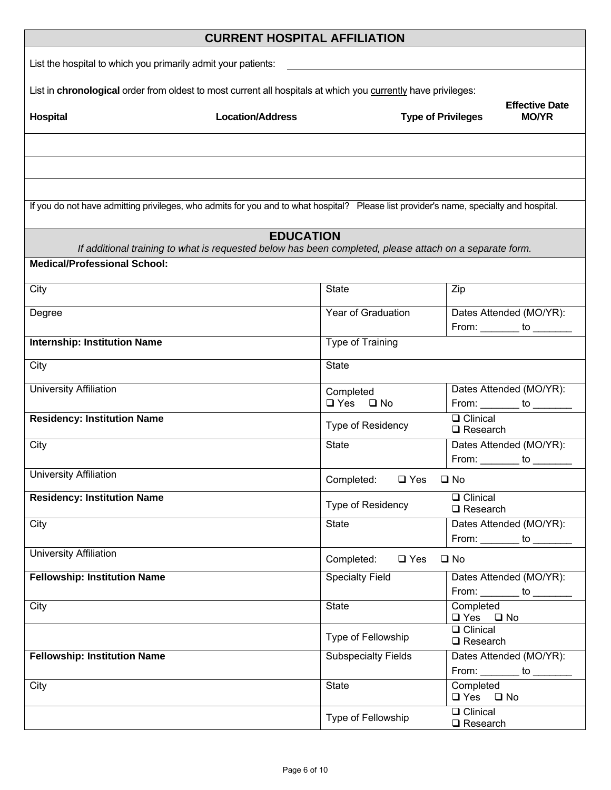|                                                                                                                                        | <b>CURRENT HOSPITAL AFFILIATION</b>                                                                                         |                                   |                                                                    |
|----------------------------------------------------------------------------------------------------------------------------------------|-----------------------------------------------------------------------------------------------------------------------------|-----------------------------------|--------------------------------------------------------------------|
| List the hospital to which you primarily admit your patients:                                                                          |                                                                                                                             |                                   |                                                                    |
| List in chronological order from oldest to most current all hospitals at which you currently have privileges:                          |                                                                                                                             |                                   |                                                                    |
| <b>Hospital</b>                                                                                                                        | <b>Location/Address</b>                                                                                                     |                                   | <b>Effective Date</b><br><b>Type of Privileges</b><br><b>MO/YR</b> |
|                                                                                                                                        |                                                                                                                             |                                   |                                                                    |
|                                                                                                                                        |                                                                                                                             |                                   |                                                                    |
| If you do not have admitting privileges, who admits for you and to what hospital? Please list provider's name, specialty and hospital. |                                                                                                                             |                                   |                                                                    |
|                                                                                                                                        | <b>EDUCATION</b><br>If additional training to what is requested below has been completed, please attach on a separate form. |                                   |                                                                    |
| <b>Medical/Professional School:</b>                                                                                                    |                                                                                                                             |                                   |                                                                    |
| City                                                                                                                                   | <b>State</b>                                                                                                                |                                   | Zip                                                                |
| Degree                                                                                                                                 |                                                                                                                             | Year of Graduation                | Dates Attended (MO/YR):<br>From: ________ to _______               |
| <b>Internship: Institution Name</b>                                                                                                    |                                                                                                                             | Type of Training                  |                                                                    |
| City                                                                                                                                   | <b>State</b>                                                                                                                |                                   |                                                                    |
| <b>University Affiliation</b>                                                                                                          |                                                                                                                             | Completed<br>$\Box$ Yes $\Box$ No | Dates Attended (MO/YR):<br>From: _________ to _________            |
| <b>Residency: Institution Name</b>                                                                                                     |                                                                                                                             | Type of Residency                 | $\Box$ Clinical<br>$\Box$ Research                                 |
| City                                                                                                                                   | <b>State</b>                                                                                                                |                                   | Dates Attended (MO/YR):<br>From: _________ to ________             |
| <b>University Affiliation</b>                                                                                                          |                                                                                                                             | Completed: □ Yes                  | $\square$ No                                                       |
| <b>Residency: Institution Name</b>                                                                                                     |                                                                                                                             | <b>Type of Residency</b>          | <b>Q</b> Clinical<br>$\Box$ Research                               |
| City                                                                                                                                   | <b>State</b>                                                                                                                |                                   | Dates Attended (MO/YR):<br>From: _________ to ______               |
| <b>University Affiliation</b>                                                                                                          |                                                                                                                             | Completed:<br>$\square$ Yes       | $\square$ No                                                       |
| <b>Fellowship: Institution Name</b>                                                                                                    |                                                                                                                             | <b>Specialty Field</b>            | Dates Attended (MO/YR):<br>From: _________ to ________             |
| City                                                                                                                                   | <b>State</b>                                                                                                                |                                   | Completed<br>$\Box$ Yes $\Box$ No                                  |
|                                                                                                                                        |                                                                                                                             | Type of Fellowship                | <b>Q</b> Clinical<br>$\square$ Research                            |
| <b>Fellowship: Institution Name</b>                                                                                                    |                                                                                                                             | <b>Subspecialty Fields</b>        | Dates Attended (MO/YR):<br>From: $\_\_\_\_\_$ to $\_\_\_\_\$       |
| City                                                                                                                                   | <b>State</b>                                                                                                                |                                   | Completed<br>$\Box$ Yes $\Box$ No                                  |
|                                                                                                                                        |                                                                                                                             | Type of Fellowship                | <b>Q</b> Clinical<br>$\square$ Research                            |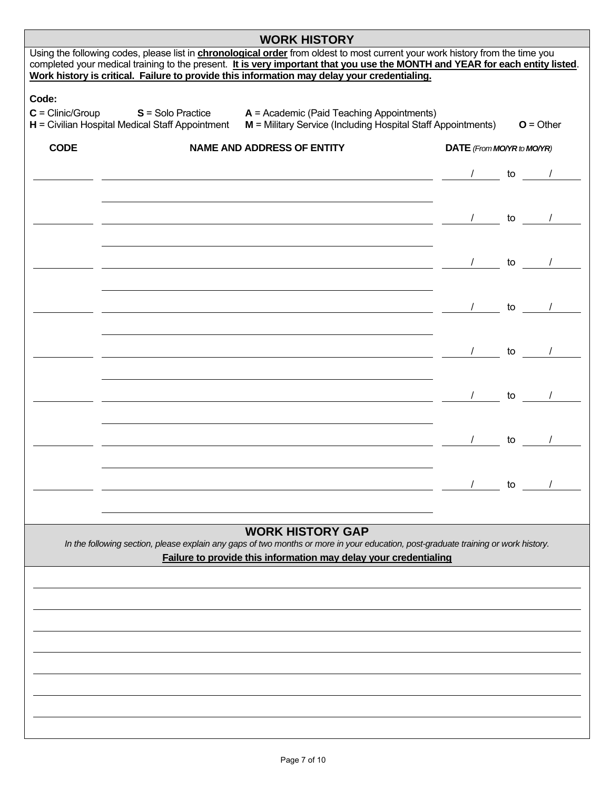| Using the following codes, please list in <b>chronological order</b> from oldest to most current your work history from the time you<br>completed your medical training to the present. It is very important that you use the MONTH and YEAR for each entity listed.                                                                                                                                                            |                            |    |             |
|---------------------------------------------------------------------------------------------------------------------------------------------------------------------------------------------------------------------------------------------------------------------------------------------------------------------------------------------------------------------------------------------------------------------------------|----------------------------|----|-------------|
| Work history is critical. Failure to provide this information may delay your credentialing.                                                                                                                                                                                                                                                                                                                                     |                            |    |             |
| Code:                                                                                                                                                                                                                                                                                                                                                                                                                           |                            |    |             |
| $C = \text{Clinic/Group}$ $S = \text{Solo Practice}$<br>$A =$ Academic (Paid Teaching Appointments)<br>$H =$ Civilian Hospital Medical Staff Appointment<br>M = Military Service (Including Hospital Staff Appointments)                                                                                                                                                                                                        |                            |    | $O =$ Other |
| <b>CODE</b><br><b>NAME AND ADDRESS OF ENTITY</b>                                                                                                                                                                                                                                                                                                                                                                                | DATE (From MO/YR to MO/YR) |    |             |
| $\overline{\phantom{a}}$ to $\overline{\phantom{a}}$ /                                                                                                                                                                                                                                                                                                                                                                          |                            |    |             |
|                                                                                                                                                                                                                                                                                                                                                                                                                                 |                            |    |             |
| $\frac{1}{\sqrt{2}}$ to $\frac{1}{\sqrt{2}}$                                                                                                                                                                                                                                                                                                                                                                                    |                            |    |             |
|                                                                                                                                                                                                                                                                                                                                                                                                                                 |                            |    |             |
| $\frac{1}{\sqrt{1-\frac{1}{2}}}\frac{1}{\sqrt{1-\frac{1}{2}}}\frac{1}{\sqrt{1-\frac{1}{2}}}\frac{1}{\sqrt{1-\frac{1}{2}}}\frac{1}{\sqrt{1-\frac{1}{2}}}\frac{1}{\sqrt{1-\frac{1}{2}}}\frac{1}{\sqrt{1-\frac{1}{2}}}\frac{1}{\sqrt{1-\frac{1}{2}}}\frac{1}{\sqrt{1-\frac{1}{2}}}\frac{1}{\sqrt{1-\frac{1}{2}}}\frac{1}{\sqrt{1-\frac{1}{2}}}\frac{1}{\sqrt{1-\frac{1}{2}}}\frac{1}{\sqrt{1-\frac{1}{2}}}\frac{1}{\sqrt{1-\frac{$ |                            |    |             |
| $\frac{1}{\sqrt{2}}$ to $\frac{1}{\sqrt{2}}$                                                                                                                                                                                                                                                                                                                                                                                    |                            |    |             |
|                                                                                                                                                                                                                                                                                                                                                                                                                                 |                            |    |             |
| $\frac{l}{l}$ to $\frac{l}{l}$ to $\frac{l}{l}$                                                                                                                                                                                                                                                                                                                                                                                 |                            |    |             |
|                                                                                                                                                                                                                                                                                                                                                                                                                                 |                            |    |             |
| $\frac{1}{\sqrt{1-\frac{1}{2}}}\left\vert \frac{1}{\sqrt{1-\frac{1}{2}}}\right\vert$ to $\frac{1}{\sqrt{1-\frac{1}{2}}}\left\vert \frac{1}{\sqrt{1-\frac{1}{2}}}\right\vert$                                                                                                                                                                                                                                                    |                            |    |             |
|                                                                                                                                                                                                                                                                                                                                                                                                                                 |                            |    |             |
| $\frac{1}{\sqrt{1-\frac{1}{2}}}\cos\left(\frac{1}{2}\right)$ to $\frac{1}{\sqrt{1-\frac{1}{2}}}\cos\left(\frac{1}{2}\right)$                                                                                                                                                                                                                                                                                                    |                            |    |             |
|                                                                                                                                                                                                                                                                                                                                                                                                                                 |                            | to |             |
|                                                                                                                                                                                                                                                                                                                                                                                                                                 |                            |    |             |
| <b>WORK HISTORY GAP</b>                                                                                                                                                                                                                                                                                                                                                                                                         |                            |    |             |
| In the following section, please explain any gaps of two months or more in your education, post-graduate training or work history.<br>Failure to provide this information may delay your credentialing                                                                                                                                                                                                                          |                            |    |             |
|                                                                                                                                                                                                                                                                                                                                                                                                                                 |                            |    |             |
|                                                                                                                                                                                                                                                                                                                                                                                                                                 |                            |    |             |
|                                                                                                                                                                                                                                                                                                                                                                                                                                 |                            |    |             |
|                                                                                                                                                                                                                                                                                                                                                                                                                                 |                            |    |             |
|                                                                                                                                                                                                                                                                                                                                                                                                                                 |                            |    |             |
|                                                                                                                                                                                                                                                                                                                                                                                                                                 |                            |    |             |
|                                                                                                                                                                                                                                                                                                                                                                                                                                 |                            |    |             |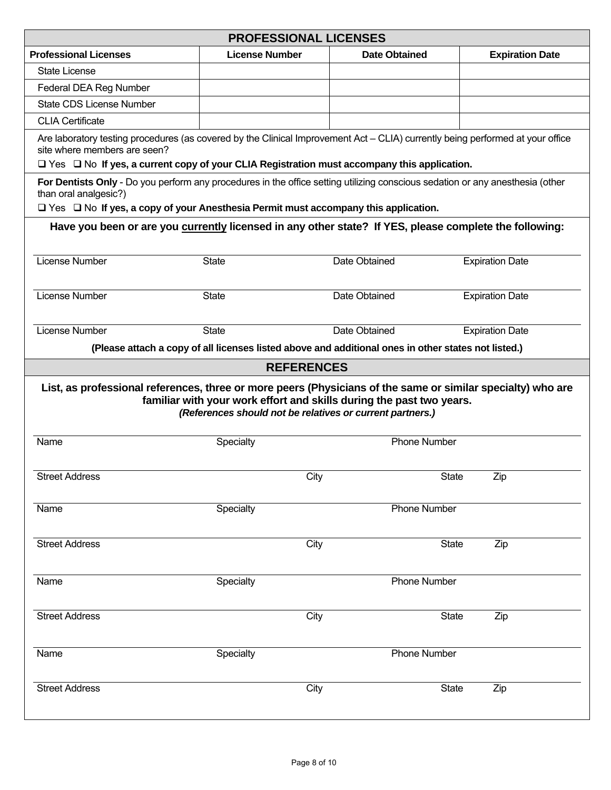|                                                                                                                                                                                                                                                                          | <b>PROFESSIONAL LICENSES</b>                              |                                                                                                     |                        |
|--------------------------------------------------------------------------------------------------------------------------------------------------------------------------------------------------------------------------------------------------------------------------|-----------------------------------------------------------|-----------------------------------------------------------------------------------------------------|------------------------|
| <b>Professional Licenses</b>                                                                                                                                                                                                                                             | <b>License Number</b>                                     | <b>Date Obtained</b>                                                                                | <b>Expiration Date</b> |
| <b>State License</b>                                                                                                                                                                                                                                                     |                                                           |                                                                                                     |                        |
| Federal DEA Reg Number                                                                                                                                                                                                                                                   |                                                           |                                                                                                     |                        |
| <b>State CDS License Number</b>                                                                                                                                                                                                                                          |                                                           |                                                                                                     |                        |
| <b>CLIA Certificate</b>                                                                                                                                                                                                                                                  |                                                           |                                                                                                     |                        |
| Are laboratory testing procedures (as covered by the Clinical Improvement Act – CLIA) currently being performed at your office<br>site where members are seen?<br>$\Box$ Yes $\Box$ No If yes, a current copy of your CLIA Registration must accompany this application. |                                                           |                                                                                                     |                        |
| For Dentists Only - Do you perform any procedures in the office setting utilizing conscious sedation or any anesthesia (other<br>than oral analgesic?)<br>$\Box$ Yes $\Box$ No If yes, a copy of your Anesthesia Permit must accompany this application.                 |                                                           |                                                                                                     |                        |
| Have you been or are you currently licensed in any other state? If YES, please complete the following:                                                                                                                                                                   |                                                           |                                                                                                     |                        |
| <b>License Number</b>                                                                                                                                                                                                                                                    | <b>State</b>                                              | Date Obtained                                                                                       | <b>Expiration Date</b> |
| License Number                                                                                                                                                                                                                                                           | <b>State</b>                                              | Date Obtained                                                                                       | <b>Expiration Date</b> |
| License Number                                                                                                                                                                                                                                                           | <b>State</b>                                              | Date Obtained                                                                                       | <b>Expiration Date</b> |
|                                                                                                                                                                                                                                                                          |                                                           | (Please attach a copy of all licenses listed above and additional ones in other states not listed.) |                        |
|                                                                                                                                                                                                                                                                          | <b>REFERENCES</b>                                         |                                                                                                     |                        |
| List, as professional references, three or more peers (Physicians of the same or similar specialty) who are                                                                                                                                                              | (References should not be relatives or current partners.) | familiar with your work effort and skills during the past two years.                                |                        |
| Name                                                                                                                                                                                                                                                                     | Specialty                                                 | <b>Phone Number</b>                                                                                 |                        |
| <b>Street Address</b>                                                                                                                                                                                                                                                    | City                                                      | <b>State</b>                                                                                        | Zip                    |
| Name                                                                                                                                                                                                                                                                     | Specialty                                                 | <b>Phone Number</b>                                                                                 |                        |
| <b>Street Address</b>                                                                                                                                                                                                                                                    | City                                                      | <b>State</b>                                                                                        | Zip                    |
| Name                                                                                                                                                                                                                                                                     | Specialty                                                 | <b>Phone Number</b>                                                                                 |                        |
| <b>Street Address</b>                                                                                                                                                                                                                                                    | City                                                      | <b>State</b>                                                                                        | Zip                    |
| Name                                                                                                                                                                                                                                                                     | Specialty                                                 | <b>Phone Number</b>                                                                                 |                        |
| <b>Street Address</b>                                                                                                                                                                                                                                                    | City                                                      | <b>State</b>                                                                                        | Zip                    |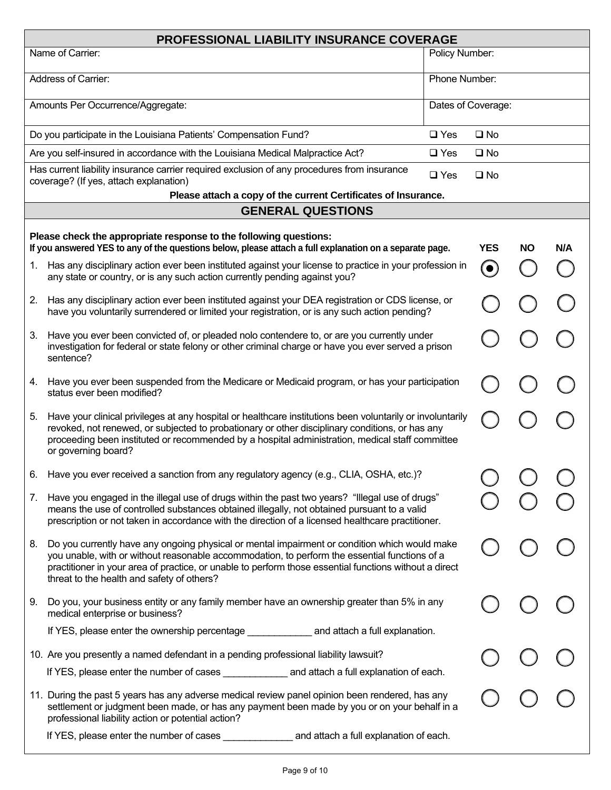|    | <b>PROFESSIONAL LIABILITY INSURANCE COVERAGE</b>                                                                                                                                                                                                                                                                                                       |                |                    |           |     |
|----|--------------------------------------------------------------------------------------------------------------------------------------------------------------------------------------------------------------------------------------------------------------------------------------------------------------------------------------------------------|----------------|--------------------|-----------|-----|
|    | Name of Carrier:                                                                                                                                                                                                                                                                                                                                       | Policy Number: |                    |           |     |
|    | Address of Carrier:                                                                                                                                                                                                                                                                                                                                    | Phone Number:  |                    |           |     |
|    | Amounts Per Occurrence/Aggregate:                                                                                                                                                                                                                                                                                                                      |                | Dates of Coverage: |           |     |
|    | Do you participate in the Louisiana Patients' Compensation Fund?                                                                                                                                                                                                                                                                                       | $\square$ Yes  | $\square$ No       |           |     |
|    | Are you self-insured in accordance with the Louisiana Medical Malpractice Act?                                                                                                                                                                                                                                                                         | $\square$ Yes  | $\square$ No       |           |     |
|    | Has current liability insurance carrier required exclusion of any procedures from insurance<br>coverage? (If yes, attach explanation)                                                                                                                                                                                                                  | $\Box$ Yes     | $\square$ No       |           |     |
|    | Please attach a copy of the current Certificates of Insurance.                                                                                                                                                                                                                                                                                         |                |                    |           |     |
|    | <b>GENERAL QUESTIONS</b>                                                                                                                                                                                                                                                                                                                               |                |                    |           |     |
|    | Please check the appropriate response to the following questions:<br>If you answered YES to any of the questions below, please attach a full explanation on a separate page.                                                                                                                                                                           |                | <b>YES</b>         | <b>NO</b> | N/A |
| 1. | Has any disciplinary action ever been instituted against your license to practice in your profession in<br>any state or country, or is any such action currently pending against you?                                                                                                                                                                  |                | $\bullet$          |           |     |
| 2. | Has any disciplinary action ever been instituted against your DEA registration or CDS license, or<br>have you voluntarily surrendered or limited your registration, or is any such action pending?                                                                                                                                                     |                |                    |           |     |
| 3. | Have you ever been convicted of, or pleaded nolo contendere to, or are you currently under<br>investigation for federal or state felony or other criminal charge or have you ever served a prison<br>sentence?                                                                                                                                         |                |                    |           |     |
| 4. | Have you ever been suspended from the Medicare or Medicaid program, or has your participation<br>status ever been modified?                                                                                                                                                                                                                            |                |                    |           |     |
| 5. | Have your clinical privileges at any hospital or healthcare institutions been voluntarily or involuntarily<br>revoked, not renewed, or subjected to probationary or other disciplinary conditions, or has any<br>proceeding been instituted or recommended by a hospital administration, medical staff committee<br>or governing board?                |                |                    |           |     |
| 6. | Have you ever received a sanction from any regulatory agency (e.g., CLIA, OSHA, etc.)?                                                                                                                                                                                                                                                                 |                |                    |           |     |
| 7. | Have you engaged in the illegal use of drugs within the past two years? "Illegal use of drugs"<br>means the use of controlled substances obtained illegally, not obtained pursuant to a valid<br>prescription or not taken in accordance with the direction of a licensed healthcare practitioner.                                                     |                |                    |           |     |
| 8. | Do you currently have any ongoing physical or mental impairment or condition which would make<br>you unable, with or without reasonable accommodation, to perform the essential functions of a<br>practitioner in your area of practice, or unable to perform those essential functions without a direct<br>threat to the health and safety of others? |                |                    |           |     |
| 9. | Do you, your business entity or any family member have an ownership greater than 5% in any<br>medical enterprise or business?                                                                                                                                                                                                                          |                |                    |           |     |
|    | If YES, please enter the ownership percentage _______________ and attach a full explanation.                                                                                                                                                                                                                                                           |                |                    |           |     |
|    | 10. Are you presently a named defendant in a pending professional liability lawsuit?                                                                                                                                                                                                                                                                   |                |                    |           |     |
|    | If YES, please enter the number of cases ______________ and attach a full explanation of each.                                                                                                                                                                                                                                                         |                |                    |           |     |
|    | 11. During the past 5 years has any adverse medical review panel opinion been rendered, has any<br>settlement or judgment been made, or has any payment been made by you or on your behalf in a<br>professional liability action or potential action?                                                                                                  |                |                    |           |     |
|    | and attach a full explanation of each.<br>If YES, please enter the number of cases ______________                                                                                                                                                                                                                                                      |                |                    |           |     |